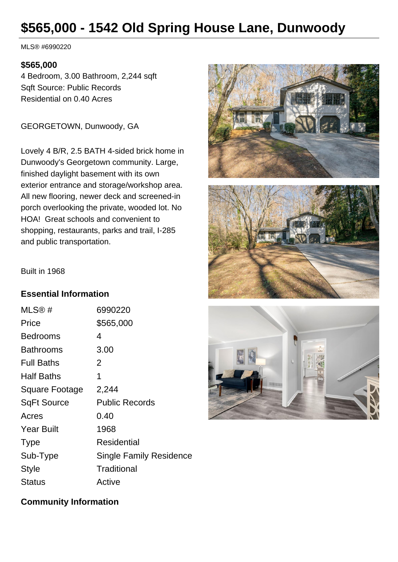# **\$565,000 - 1542 Old Spring House Lane, Dunwoody**

MLS® #6990220

#### **\$565,000**

4 Bedroom, 3.00 Bathroom, 2,244 sqft Sqft Source: Public Records Residential on 0.40 Acres

GEORGETOWN, Dunwoody, GA

Lovely 4 B/R, 2.5 BATH 4-sided brick home in Dunwoody's Georgetown community. Large, finished daylight basement with its own exterior entrance and storage/workshop area. All new flooring, newer deck and screened-in porch overlooking the private, wooded lot. No HOA! Great schools and convenient to shopping, restaurants, parks and trail, I-285 and public transportation.





Built in 1968

#### **Essential Information**

| MLS@#                 | 6990220                        |
|-----------------------|--------------------------------|
| Price                 | \$565,000                      |
| Bedrooms              | 4                              |
| Bathrooms             | 3.00                           |
| <b>Full Baths</b>     | 2                              |
| Half Baths            | 1                              |
| <b>Square Footage</b> | 2,244                          |
| <b>SqFt Source</b>    | <b>Public Records</b>          |
| Acres                 | 0.40                           |
| <b>Year Built</b>     | 1968                           |
| <b>Type</b>           | Residential                    |
| Sub-Type              | <b>Single Family Residence</b> |
| <b>Style</b>          | Traditional                    |
| Status                | Active                         |



#### **Community Information**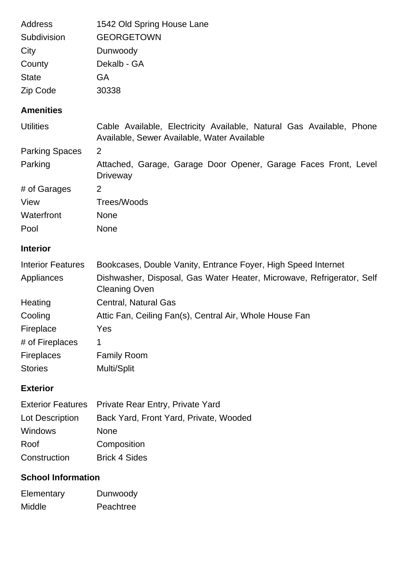| Address      | 1542 Old Spring House Lane |
|--------------|----------------------------|
| Subdivision  | <b>GEORGETOWN</b>          |
| City         | Dunwoody                   |
| County       | Dekalb - GA                |
| <b>State</b> | GA                         |
| Zip Code     | 30338                      |

## **Amenities**

| <b>Utilities</b>         | Cable Available, Electricity Available, Natural Gas Available, Phone<br>Available, Sewer Available, Water Available |  |
|--------------------------|---------------------------------------------------------------------------------------------------------------------|--|
| <b>Parking Spaces</b>    | 2                                                                                                                   |  |
| Parking                  | Attached, Garage, Garage Door Opener, Garage Faces Front, Level<br><b>Driveway</b>                                  |  |
| # of Garages             | 2                                                                                                                   |  |
| View                     | Trees/Woods                                                                                                         |  |
| Waterfront               | <b>None</b>                                                                                                         |  |
| Pool                     | <b>None</b>                                                                                                         |  |
| <b>Interior</b>          |                                                                                                                     |  |
| <b>Interior Features</b> | Bookcases, Double Vanity, Entrance Foyer, High Speed Internet                                                       |  |
| Appliances               | Dishwasher, Disposal, Gas Water Heater, Microwave, Refrigerator, Self<br><b>Cleaning Oven</b>                       |  |
| Heating                  | Central, Natural Gas                                                                                                |  |
| Cooling                  | Attic Fan, Ceiling Fan(s), Central Air, Whole House Fan                                                             |  |
| Fireplace                | Yes                                                                                                                 |  |
| # of Fireplaces          | 1                                                                                                                   |  |
| <b>Fireplaces</b>        | <b>Family Room</b>                                                                                                  |  |
| <b>Stories</b>           | Multi/Split                                                                                                         |  |
| <b>Exterior</b>          |                                                                                                                     |  |
|                          | Exterior Features - Drivate Rear Entry Drivate Vard                                                                 |  |

|                 | Exterior Features Private Real Entry, Private Yard |
|-----------------|----------------------------------------------------|
| Lot Description | Back Yard, Front Yard, Private, Wooded             |
| <b>Windows</b>  | <b>None</b>                                        |
| Roof            | Composition                                        |
| Construction    | <b>Brick 4 Sides</b>                               |

## **School Information**

| Elementary | Dunwoody  |
|------------|-----------|
| Middle     | Peachtree |